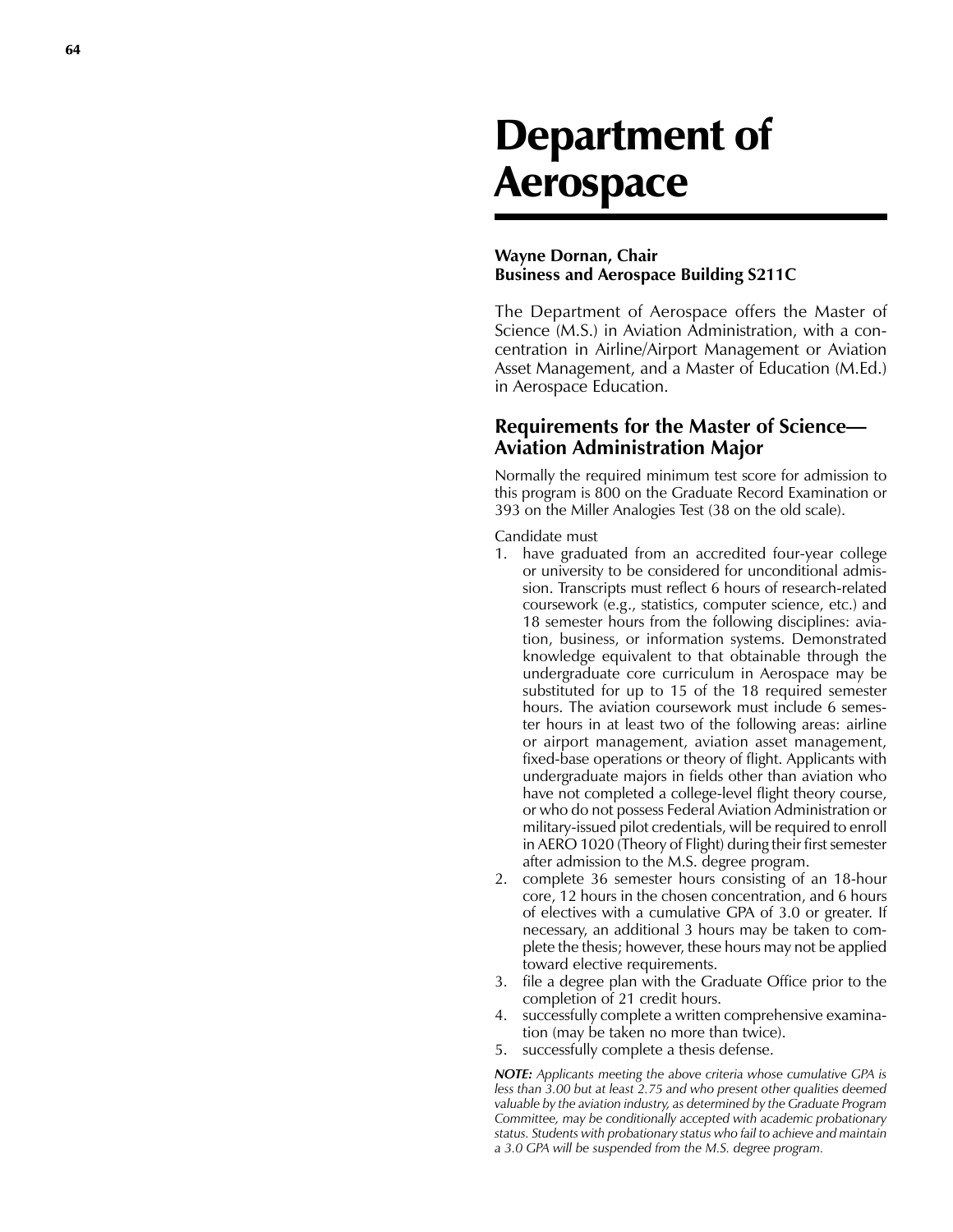# Department of Aerospace

#### **Wayne Dornan, Chair Business and Aerospace Building S211C**

The Department of Aerospace offers the Master of Science (M.S.) in Aviation Administration, with a con centration in Airline/Airport Management or Aviation Asset Management, and a Master of Education (M.Ed.) in Aerospace Education.

# **Requirements for the Master of Science— Aviation Administration Major**

Normally the required minimum test score for admission to this program is 800 on the Graduate Record Examination or 393 on the Miller Analogies Test (38 on the old scale).

Candidate must

- 1. have graduated from an accredited four-year college or university to be considered for unconditional admis sion. Transcripts must reflect 6 hours of research-related coursework (e.g., statistics, computer science, etc.) and 18 semester hours from the following disciplines: avia tion, business, or information systems. Demonstrated knowledge equivalent to that obtainable through the undergraduate core curriculum in Aerospace may be substituted for up to 15 of the 18 required semester hours. The aviation coursework must include 6 semes ter hours in at least two of the following areas: airline or airport management, aviation asset management, fixed-base operations or theory of flight. Applicants with undergraduate majors in fields other than aviation who have not completed a college-level flight theory course, or who do not possess Federal Aviation Administration or military-issued pilot credentials, will be required to enroll in AERO 1020 (Theory of Flight) during their first semester after admission to the M.S. degree program.
- 2. complete 36 semester hours consisting of an 18-hour core, 12 hours in the chosen concentration, and 6 hours of electives with a cumulative GPA of 3.0 or greater. If necessary, an additional 3 hours may be taken to com plete the thesis; however, these hours may not be applied toward elective requirements.
- 3. file a degree plan with the Graduate Office prior to the completion of 21 credit hours.
- 4. successfully complete a written comprehensive examina tion (may be taken no more than twice).
- 5. successfully complete a thesis defense.

*NOTE: Applicants meeting the above criteria whose cumulative GPA is less than 3.00 but at least 2.75 and who present other qualities deemed valuable by the aviation industry, as determined by the Graduate Program Committee, may be conditionally accepted with academic probationary status. Students with probationary status who fail to achieve and maintain a 3.0 GPA will be suspended from the M.S. degree program.*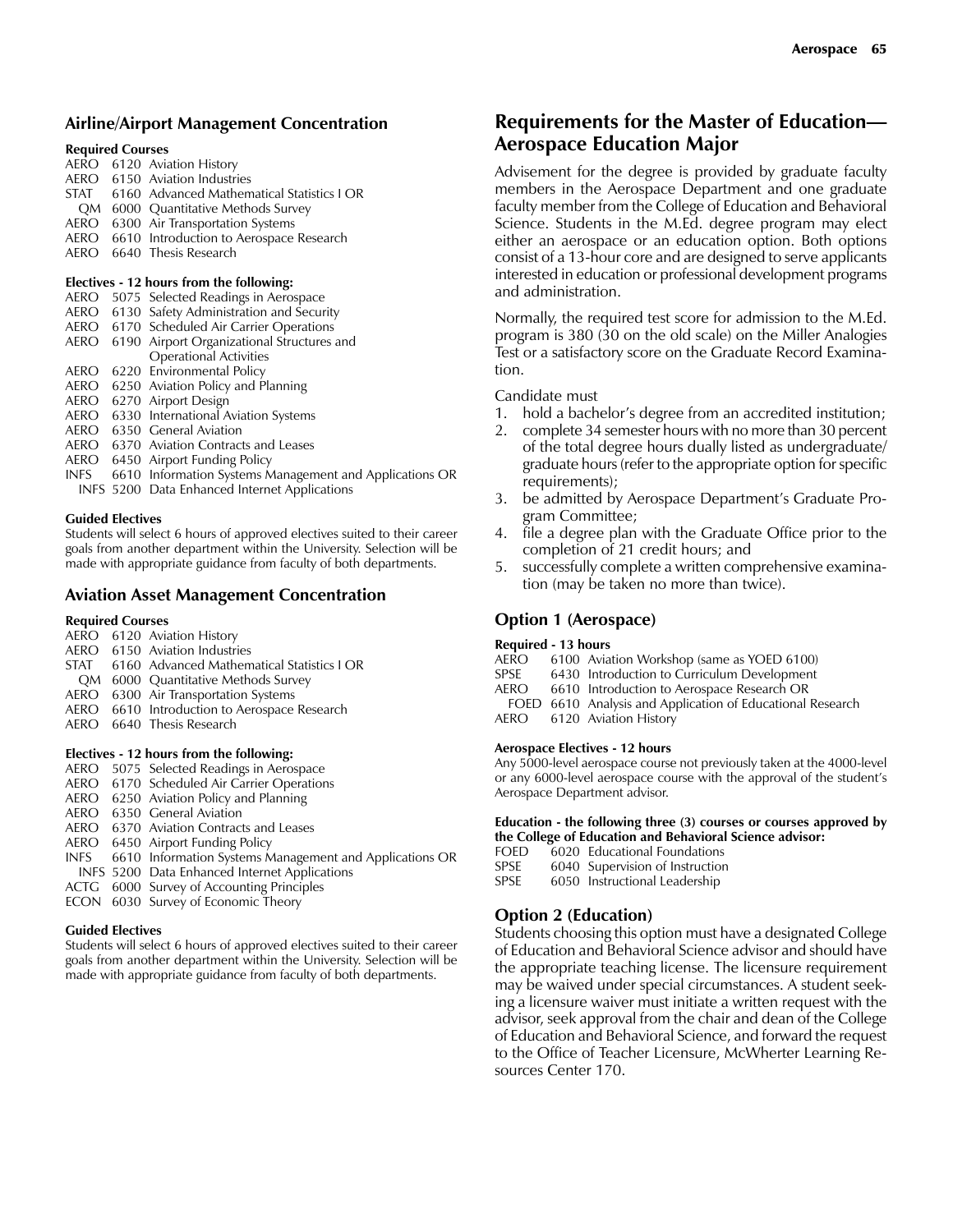### **Airline/Airport Management Concentration**

#### **Required Courses**

|  | AERO 6120 Aviation History                      |
|--|-------------------------------------------------|
|  | AERO 6150 Aviation Industries                   |
|  | STAT 6160 Advanced Mathematical Statistics   OR |
|  | QM 6000 Quantitative Methods Survey             |
|  | AERO 6300 Air Transportation Systems            |
|  | AERO 6610 Introduction to Aerospace Research    |
|  | AERO 6640 Thesis Research                       |
|  |                                                 |

#### **Electives - 12 hours from the following:**

|      | AERO 5075 Selected Readings in Aerospace                |
|------|---------------------------------------------------------|
|      | AERO 6130 Safety Administration and Security            |
|      | AERO 6170 Scheduled Air Carrier Operations              |
|      | AERO 6190 Airport Organizational Structures and         |
|      | <b>Operational Activities</b>                           |
|      | AERO 6220 Environmental Policy                          |
|      | AERO 6250 Aviation Policy and Planning                  |
|      | AERO 6270 Airport Design                                |
|      | AERO 6330 International Aviation Systems                |
| AERO | 6350 General Aviation                                   |
|      | AERO 6370 Aviation Contracts and Leases                 |
| AERO | 6450 Airport Funding Policy                             |
| INFS | 6610 Information Systems Management and Applications OR |
|      | <b>INFS</b> 5200 Data Enhanced Internet Applications    |

#### **Guided Electives**

Students will select 6 hours of approved electives suited to their career goals from another department within the University. Selection will be made with appropriate guidance from faculty of both departments.

#### **Aviation Asset Management Concentration**

#### **Required Courses**

|                                          |  | AERO 6120 Aviation History                     |  |  |  |  |
|------------------------------------------|--|------------------------------------------------|--|--|--|--|
|                                          |  | AERO 6150 Aviation Industries                  |  |  |  |  |
|                                          |  | STAT 6160 Advanced Mathematical Statistics LOR |  |  |  |  |
|                                          |  | QM 6000 Quantitative Methods Survey            |  |  |  |  |
|                                          |  | AERO 6300 Air Transportation Systems           |  |  |  |  |
|                                          |  | AERO 6610 Introduction to Aerospace Research   |  |  |  |  |
| AFRO                                     |  | 6640 Thesis Research                           |  |  |  |  |
| Electives - 12 hours from the following: |  |                                                |  |  |  |  |
|                                          |  | AERO 5075 Selected Readings in Aerospace       |  |  |  |  |
|                                          |  | AERO 6170 Scheduled Air Carrier Operations     |  |  |  |  |
|                                          |  | AERO 6250 Aviation Policy and Planning         |  |  |  |  |
|                                          |  | AERO 6350 General Aviation                     |  |  |  |  |

- AERO 6370 Aviation Contracts and Leases
- AERO 6450 Airport Funding Policy
- INFS 6610 Information Systems Management and Applications OR INFS 5200 Data Enhanced Internet Applications
- ACTG 6000 Survey of Accounting Principles
- ECON 6030 Survey of Economic Theory

#### **Guided Electives**

Students will select 6 hours of approved electives suited to their career goals from another department within the University. Selection will be made with appropriate guidance from faculty of both departments.

# **Requirements for the Master of Education— Aerospace Education Major**

Advisement for the degree is provided by graduate faculty members in the Aerospace Department and one graduate faculty member from the College of Education and Behavioral Science. Students in the M.Ed. degree program may elect either an aerospace or an education option. Both options consist of a 13-hour core and are designed to serve applicants interested in education or professional development programs and administration.

Normally, the required test score for admission to the M.Ed. program is 380 (30 on the old scale) on the Miller Analogies Test or a satisfactory score on the Graduate Record Examination.

#### Candidate must

- 1. hold a bachelor's degree from an accredited institution;
- 2. complete 34 semester hours with no more than 30 percent of the total degree hours dually listed as undergraduate/ graduate hours (refer to the appropriate option for specific requirements);
- 3. be admitted by Aerospace Department's Graduate Program Committee;
- 4. file a degree plan with the Graduate Office prior to the completion of 21 credit hours; and
- 5. successfully complete a written comprehensive examination (may be taken no more than twice).

#### **Option 1 (Aerospace)**

# **Required - 13 hours**

- AERO 6100 Aviation Workshop (same as YOED 6100)
- 6430 Introduction to Curriculum Development
- AERO 6610 Introduction to Aerospace Research OR
- FOED 6610 Analysis and Application of Educational Research
- AERO 6120 Aviation History

#### **Aerospace Electives - 12 hours**

Any 5000-level aerospace course not previously taken at the 4000-level or any 6000-level aerospace course with the approval of the student's Aerospace Department advisor.

#### **Education - the following three (3) courses or courses approved by the College of Education and Behavioral Science advisor:**

- FOED 6020 Educational Foundations
- 
- SPSE 6040 Supervision of Instruction<br>SPSE 6050 Instructional Leadership 6050 Instructional Leadership

# **Option 2 (Education)**

Students choosing this option must have a designated College of Education and Behavioral Science advisor and should have the appropriate teaching license. The licensure requirement may be waived under special circumstances. A student seeking a licensure waiver must initiate a written request with the advisor, seek approval from the chair and dean of the College of Education and Behavioral Science, and forward the request to the Office of Teacher Licensure, McWherter Learning Resources Center 170.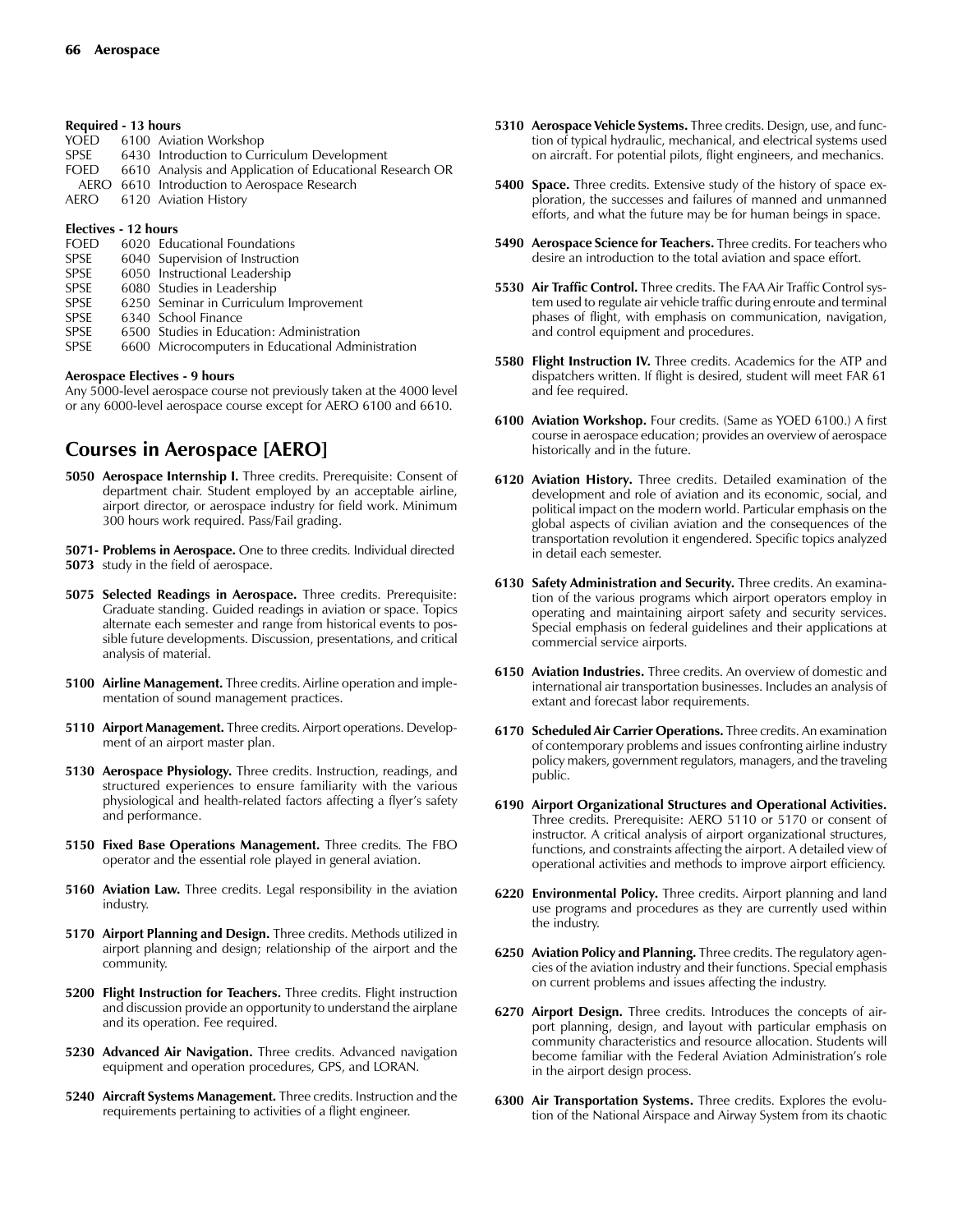#### **Required - 13 hours**

|      | YOED 6100 Aviation Workshop                              |
|------|----------------------------------------------------------|
| SPSE | 6430 Introduction to Curriculum Development              |
| FOED | 6610 Analysis and Application of Educational Research OR |
|      | AERO 6610 Introduction to Aerospace Research             |
|      | AERO 6120 Aviation History                               |

#### **Electives - 12 hours**

- FOED 6020 Educational Foundations SPSE 6040 Supervision of Instruction
- SPSE 6050 Instructional Leadership
- SPSE 6080 Studies in Leadership
- SPSE 6250 Seminar in Curriculum Improvement
- SPSE 6340 School Finance
- SPSE 6500 Studies in Education: Administration<br>SPSE 6600 Microcomputers in Educational Adm
- 6600 Microcomputers in Educational Administration

#### **Aerospace Electives - 9 hours**

Any 5000-level aerospace course not previously taken at the 4000 level or any 6000-level aerospace course except for AERO 6100 and 6610.

# **Courses in Aerospace [AERO]**

- **5050 Aerospace Internship I.** Three credits. Prerequisite: Consent of department chair. Student employed by an acceptable airline, airport director, or aerospace industry for field work. Minimum 300 hours work required. Pass/Fail grading.
- **5071- Problems in Aerospace.** One to three credits. Individual directed **5073** study in the field of aerospace.
- **5075 Selected Readings in Aerospace.** Three credits. Prerequisite: Graduate standing. Guided readings in aviation or space. Topics alternate each semester and range from historical events to possible future developments. Discussion, presentations, and critical analysis of material.
- **5100 Airline Management.** Three credits. Airline operation and implementation of sound management practices.
- **5110 Airport Management.** Three credits. Airport operations. Development of an airport master plan.
- **5130 Aerospace Physiology.** Three credits. Instruction, readings, and structured experiences to ensure familiarity with the various physiological and health-related factors affecting a flyer's safety and performance.
- **5150 Fixed Base Operations Management.** Three credits. The FBO operator and the essential role played in general aviation.
- **5160 Aviation Law.** Three credits. Legal responsibility in the aviation industry.
- **5170 Airport Planning and Design.** Three credits. Methods utilized in airport planning and design; relationship of the airport and the community.
- **5200 Flight Instruction for Teachers.** Three credits. Flight instruction and discussion provide an opportunity to understand the airplane and its operation. Fee required.
- **5230 Advanced Air Navigation.** Three credits. Advanced navigation equipment and operation procedures, GPS, and LORAN.
- **5240 Aircraft Systems Management.** Three credits. Instruction and the requirements pertaining to activities of a flight engineer.
- **5310 Aerospace Vehicle Systems.** Three credits. Design, use, and function of typical hydraulic, mechanical, and electrical systems used on aircraft. For potential pilots, flight engineers, and mechanics.
- **5400 Space.** Three credits. Extensive study of the history of space exploration, the successes and failures of manned and unmanned efforts, and what the future may be for human beings in space.
- **5490 Aerospace Science for Teachers.** Three credits. For teachers who desire an introduction to the total aviation and space effort.
- **5530 Air Traffic Control.** Three credits. The FAA Air Traffic Control system used to regulate air vehicle traffic during enroute and terminal phases of flight, with emphasis on communication, navigation, and control equipment and procedures.
- **5580 Flight Instruction IV.** Three credits. Academics for the ATP and dispatchers written. If flight is desired, student will meet FAR 61 and fee required.
- **6100 Aviation Workshop.** Four credits. (Same as YOED 6100.) A first course in aerospace education; provides an overview of aerospace historically and in the future.
- **6120 Aviation History.** Three credits. Detailed examination of the development and role of aviation and its economic, social, and political impact on the modern world. Particular emphasis on the global aspects of civilian aviation and the consequences of the transportation revolution it engendered. Specific topics analyzed in detail each semester.
- **6130 Safety Administration and Security.** Three credits. An examination of the various programs which airport operators employ in operating and maintaining airport safety and security services. Special emphasis on federal guidelines and their applications at commercial service airports.
- **6150 Aviation Industries.** Three credits. An overview of domestic and international air transportation businesses. Includes an analysis of extant and forecast labor requirements.
- **6170 Scheduled Air Carrier Operations.** Three credits. An examination of contemporary problems and issues confronting airline industry policy makers, government regulators, managers, and the traveling public.
- **6190 Airport Organizational Structures and Operational Activities.** Three credits. Prerequisite: AERO 5110 or 5170 or consent of instructor. A critical analysis of airport organizational structures, functions, and constraints affecting the airport. A detailed view of operational activities and methods to improve airport efficiency.
- **6220 Environmental Policy.** Three credits. Airport planning and land use programs and procedures as they are currently used within the industry.
- **6250 Aviation Policy and Planning.** Three credits. The regulatory agencies of the aviation industry and their functions. Special emphasis on current problems and issues affecting the industry.
- **6270 Airport Design.** Three credits. Introduces the concepts of airport planning, design, and layout with particular emphasis on community characteristics and resource allocation. Students will become familiar with the Federal Aviation Administration's role in the airport design process.
- **6300 Air Transportation Systems.** Three credits. Explores the evolution of the National Airspace and Airway System from its chaotic